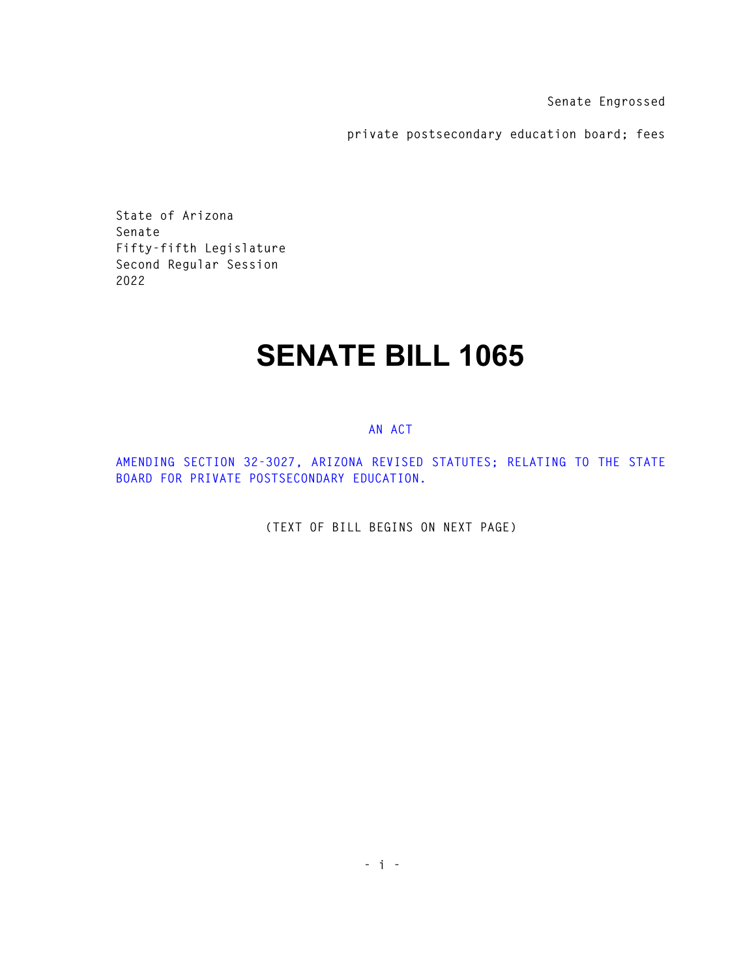**Senate Engrossed** 

**private postsecondary education board; fees** 

**State of Arizona Senate Fifty-fifth Legislature Second Regular Session 2022** 

## **SENATE BILL 1065**

## **AN ACT**

**AMENDING SECTION 32-3027, ARIZONA REVISED STATUTES; RELATING TO THE STATE BOARD FOR PRIVATE POSTSECONDARY EDUCATION.** 

**(TEXT OF BILL BEGINS ON NEXT PAGE)**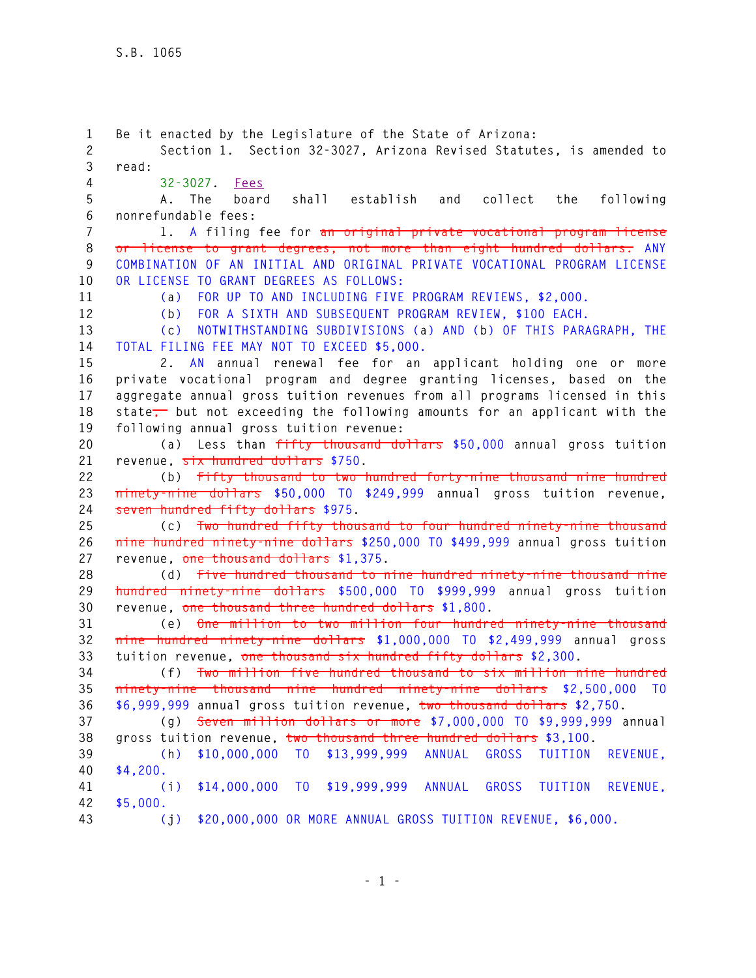**1 Be it enacted by the Legislature of the State of Arizona: 2 Section 1. Section 32-3027, Arizona Revised Statutes, is amended to 3 read: 4 32-3027. Fees 5 A. The board shall establish and collect the following 6 nonrefundable fees: 7 1. A filing fee for an original private vocational program license 8 or license to grant degrees, not more than eight hundred dollars. ANY 9 COMBINATION OF AN INITIAL AND ORIGINAL PRIVATE VOCATIONAL PROGRAM LICENSE 10 OR LICENSE TO GRANT DEGREES AS FOLLOWS: 11 (a) FOR UP TO AND INCLUDING FIVE PROGRAM REVIEWS, \$2,000. 12 (b) FOR A SIXTH AND SUBSEQUENT PROGRAM REVIEW, \$100 EACH. 13 (c) NOTWITHSTANDING SUBDIVISIONS (a) AND (b) OF THIS PARAGRAPH, THE 14 TOTAL FILING FEE MAY NOT TO EXCEED \$5,000. 15 2. AN annual renewal fee for an applicant holding one or more 16 private vocational program and degree granting licenses, based on the 17 aggregate annual gross tuition revenues from all programs licensed in this**  18 state<sub>7</sub> but not exceeding the following amounts for an applicant with the **19 following annual gross tuition revenue: 20 (a) Less than fifty thousand dollars \$50,000 annual gross tuition 21 revenue, six hundred dollars \$750. 22 (b) Fifty thousand to two hundred forty-nine thousand nine hundred 23 ninety-nine dollars \$50,000 TO \$249,999 annual gross tuition revenue, 24 seven hundred fifty dollars \$975. 25 (c) Two hundred fifty thousand to four hundred ninety-nine thousand 26 nine hundred ninety-nine dollars \$250,000 TO \$499,999 annual gross tuition 27 revenue, one thousand dollars \$1,375. 28 (d) Five hundred thousand to nine hundred ninety-nine thousand nine 29 hundred ninety-nine dollars \$500,000 TO \$999,999 annual gross tuition 30 revenue, one thousand three hundred dollars \$1,800. 31 (e) One million to two million four hundred ninety-nine thousand 32 nine hundred ninety-nine dollars \$1,000,000 TO \$2,499,999 annual gross 33 tuition revenue, one thousand six hundred fifty dollars \$2,300. 34 (f) Two million five hundred thousand to six million nine hundred 35 ninety-nine thousand nine hundred ninety-nine dollars \$2,500,000 TO 36 \$6,999,999 annual gross tuition revenue, two thousand dollars \$2,750. 37 (g) Seven million dollars or more \$7,000,000 TO \$9,999,999 annual 38 gross tuition revenue, two thousand three hundred dollars \$3,100. 39 (h) \$10,000,000 TO \$13,999,999 ANNUAL GROSS TUITION REVENUE, 40 \$4,200. 41 (i) \$14,000,000 TO \$19,999,999 ANNUAL GROSS TUITION REVENUE, 42 \$5,000. 43 (j) \$20,000,000 OR MORE ANNUAL GROSS TUITION REVENUE, \$6,000.**